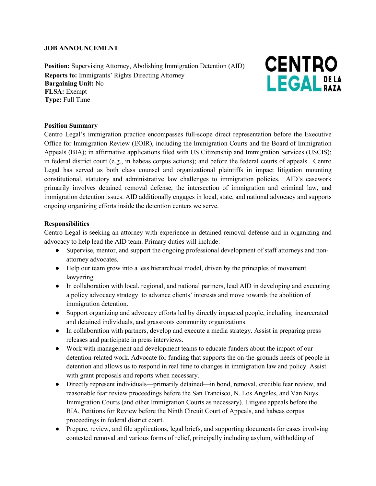#### **JOB ANNOUNCEMENT**

**Position:** Supervising Attorney, Abolishing Immigration Detention (AID) **Reports to:** Immigrants' Rights Directing Attorney **Bargaining Unit:** No **FLSA:** Exempt **Type:** Full Time



### **Position Summary**

Centro Legal's immigration practice encompasses full-scope direct representation before the Executive Office for Immigration Review (EOIR), including the Immigration Courts and the Board of Immigration Appeals (BIA); in affirmative applications filed with US Citizenship and Immigration Services (USCIS); in federal district court (e.g., in habeas corpus actions); and before the federal courts of appeals. Centro Legal has served as both class counsel and organizational plaintiffs in impact litigation mounting constitutional, statutory and administrative law challenges to immigration policies. AID's casework primarily involves detained removal defense, the intersection of immigration and criminal law, and immigration detention issues. AID additionally engages in local, state, and national advocacy and supports ongoing organizing efforts inside the detention centers we serve.

### **Responsibilities**

Centro Legal is seeking an attorney with experience in detained removal defense and in organizing and advocacy to help lead the AID team. Primary duties will include:

- Supervise, mentor, and support the ongoing professional development of staff attorneys and nonattorney advocates.
- Help our team grow into a less hierarchical model, driven by the principles of movement lawyering.
- In collaboration with local, regional, and national partners, lead AID in developing and executing a policy advocacy strategy to advance clients' interests and move towards the abolition of immigration detention.
- Support organizing and advocacy efforts led by directly impacted people, including incarcerated and detained individuals, and grassroots community organizations.
- In collaboration with partners, develop and execute a media strategy. Assist in preparing press releases and participate in press interviews.
- Work with management and development teams to educate funders about the impact of our detention-related work. Advocate for funding that supports the on-the-grounds needs of people in detention and allows us to respond in real time to changes in immigration law and policy. Assist with grant proposals and reports when necessary.
- Directly represent individuals—primarily detained—in bond, removal, credible fear review, and reasonable fear review proceedings before the San Francisco, N. Los Angeles, and Van Nuys Immigration Courts (and other Immigration Courts as necessary). Litigate appeals before the BIA, Petitions for Review before the Ninth Circuit Court of Appeals, and habeas corpus proceedings in federal district court.
- Prepare, review, and file applications, legal briefs, and supporting documents for cases involving contested removal and various forms of relief, principally including asylum, withholding of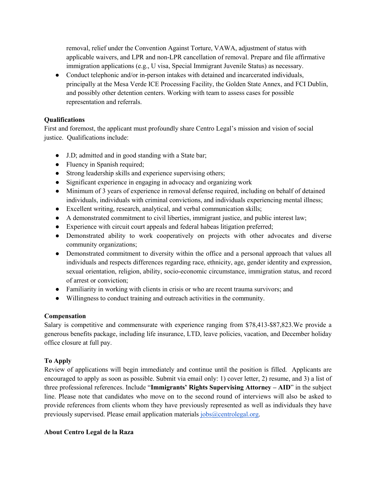removal, relief under the Convention Against Torture, VAWA, adjustment of status with applicable waivers, and LPR and non-LPR cancellation of removal. Prepare and file affirmative immigration applications (e.g., U visa, Special Immigrant Juvenile Status) as necessary.

• Conduct telephonic and/or in-person intakes with detained and incarcerated individuals, principally at the Mesa Verde ICE Processing Facility, the Golden State Annex, and FCI Dublin, and possibly other detention centers. Working with team to assess cases for possible representation and referrals.

### **Qualifications**

First and foremost, the applicant must profoundly share Centro Legal's mission and vision of social justice. Qualifications include:

- J.D; admitted and in good standing with a State bar;
- Fluency in Spanish required;
- Strong leadership skills and experience supervising others;
- Significant experience in engaging in advocacy and organizing work
- Minimum of 3 years of experience in removal defense required, including on behalf of detained individuals, individuals with criminal convictions, and individuals experiencing mental illness;
- Excellent writing, research, analytical, and verbal communication skills;
- A demonstrated commitment to civil liberties, immigrant justice, and public interest law;
- Experience with circuit court appeals and federal habeas litigation preferred;
- Demonstrated ability to work cooperatively on projects with other advocates and diverse community organizations;
- Demonstrated commitment to diversity within the office and a personal approach that values all individuals and respects differences regarding race, ethnicity, age, gender identity and expression, sexual orientation, religion, ability, socio-economic circumstance, immigration status, and record of arrest or conviction;
- Familiarity in working with clients in crisis or who are recent trauma survivors; and
- Willingness to conduct training and outreach activities in the community.

### **Compensation**

Salary is competitive and commensurate with experience ranging from \$78,413-\$87,823.We provide a generous benefits package, including life insurance, LTD, leave policies, vacation, and December holiday office closure at full pay.

# **To Apply**

Review of applications will begin immediately and continue until the position is filled. Applicants are encouraged to apply as soon as possible. Submit via email only: 1) cover letter, 2) resume, and 3) a list of three professional references. Include "**Immigrants' Rights Supervising Attorney – AID**" in the subject line. Please note that candidates who move on to the second round of interviews will also be asked to provide references from clients whom they have previously represented as well as individuals they have previously supervised. Please email application materials  $i_{\text{obs}}(a_{\text{centrolegal.org}})$ .

# **About Centro Legal de la Raza**